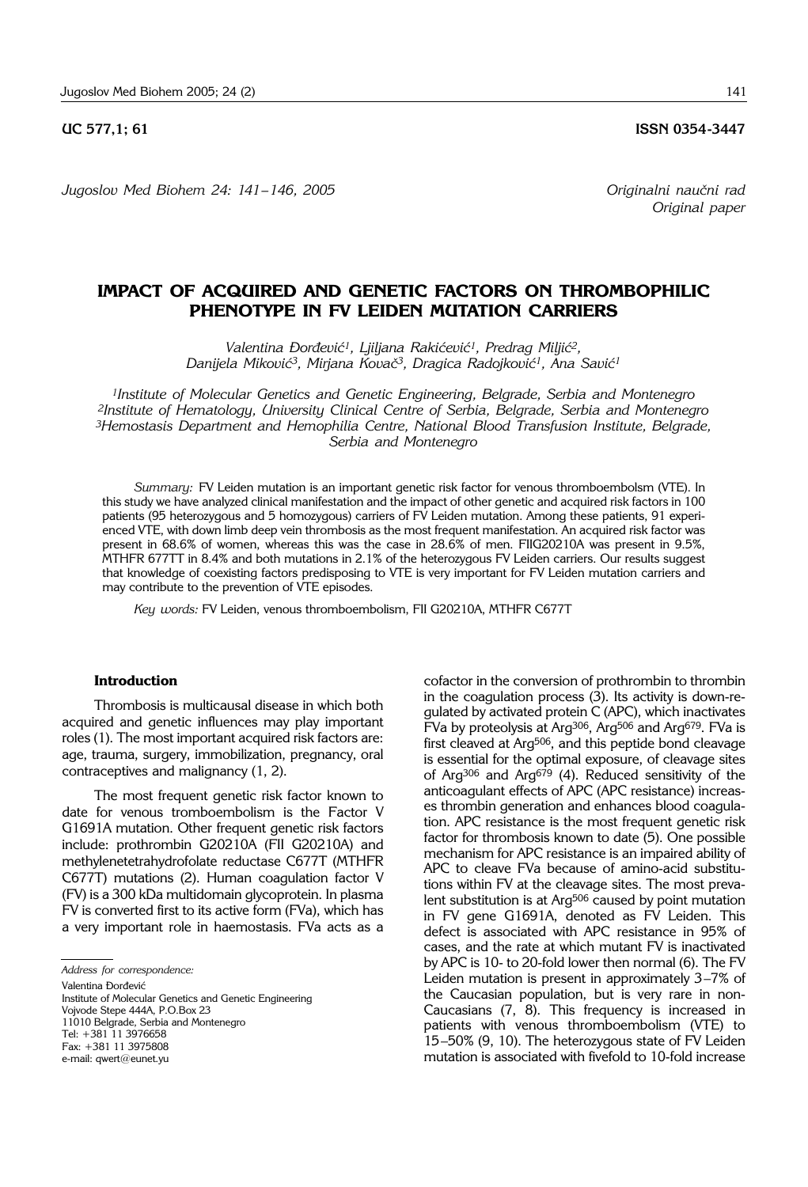#### **UC 577.1: 61** ISSN 0354-3447

*Jugoslov Med Biohem 24: 141– 146, 2005 Originalni nau~ni rad*

# **IMPACT OF ACQUIRED AND GENETIC FACTORS ON THROMBOPHILIC PHENOTYPE IN FV LEIDEN MUTATION CARRIERS**

Valentina Đorđević<sup>1</sup>, Ljiljana Rakićević<sup>1</sup>, Predrag Miljić<sup>2</sup>, *Danijela Mikovi}3, Mirjana Kova~3, Dragica Radojkovi}1, Ana Savi}1*

*1Institute of Molecular Genetics and Genetic Engineering, Belgrade, Serbia and Montenegro 2Institute of Hematology, University Clinical Centre of Serbia, Belgrade, Serbia and Montenegro 3Hemostasis Department and Hemophilia Centre, National Blood Transfusion Institute, Belgrade, Serbia and Montenegro*

*Summary:* FV Leiden mutation is an important genetic risk factor for venous thromboembolsm (VTE). In this study we have analyzed clinical manifestation and the impact of other genetic and acquired risk factors in 100 patients (95 heterozygous and 5 homozygous) carriers of FV Leiden mutation. Among these patients, 91 experienced VTE, with down limb deep vein thrombosis as the most frequent manifestation. An acquired risk factor was present in 68.6% of women, whereas this was the case in 28.6% of men. FIIG20210A was present in 9.5%, MTHFR 677TT in 8.4% and both mutations in 2.1% of the heterozygous FV Leiden carriers. Our results suggest that knowledge of coexisting factors predisposing to VTE is very important for FV Leiden mutation carriers and may contribute to the prevention of VTE episodes.

*Key words:* FV Leiden, venous thromboembolism, FII G20210A, MTHFR C677T

## **Introduction**

Thrombosis is multicausal disease in which both acquired and genetic influences may play important roles (1). The most important acquired risk factors are: age, trauma, surgery, immobilization, pregnancy, oral contraceptives and malignancy (1, 2).

The most frequent genetic risk factor known to date for venous tromboembolism is the Factor V G1691A mutation. Other frequent genetic risk factors include: prothrombin G20210A (FII G20210A) and methylenetetrahydrofolate reductase C677T (MTHFR C677T) mutations (2). Human coagulation factor V (FV) is a 300 kDa multidomain glycoprotein. In plasma FV is converted first to its active form (FVa), which has a very important role in haemostasis. FVa acts as a

Valentina Đorđević

Institute of Molecular Genetics and Genetic Engineering Vojvode Stepe 444A, P.O.Box 23 11010 Belgrade, Serbia and Montenegro Tel: +381 11 3976658 Fax: +381 11 3975808 e-mail: qwert@eunet.yu

cofactor in the conversion of prothrombin to thrombin in the coagulation process  $(3)$ . Its activity is down-regulated by activated protein C (APC), which inactivates FVa by proteolysis at Arg<sup>306</sup>, Arg<sup>506</sup> and Arg<sup>679</sup>. FVa is first cleaved at Arg506, and this peptide bond cleavage is essential for the optimal exposure, of cleavage sites of Arg306 and Arg679 (4). Reduced sensitivity of the anticoagulant effects of APC (APC resistance) increases thrombin generation and enhances blood coagulation. APC resistance is the most frequent genetic risk factor for thrombosis known to date (5). One possible mechanism for APC resistance is an impaired ability of APC to cleave FVa because of amino-acid substitutions within FV at the cleavage sites. The most prevalent substitution is at Arg506 caused by point mutation in FV gene G1691A, denoted as FV Leiden. This defect is associated with APC resistance in 95% of cases, and the rate at which mutant FV is inactivated by APC is 10- to 20-fold lower then normal (6). The FV Leiden mutation is present in approximately  $3-7%$  of the Caucasian population, but is very rare in non-Caucasians (7, 8). This frequency is increased in patients with venous thromboembolism (VTE) to 15-50% (9, 10). The heterozygous state of FV Leiden mutation is associated with fivefold to 10-fold increase

*Address for correspondence:*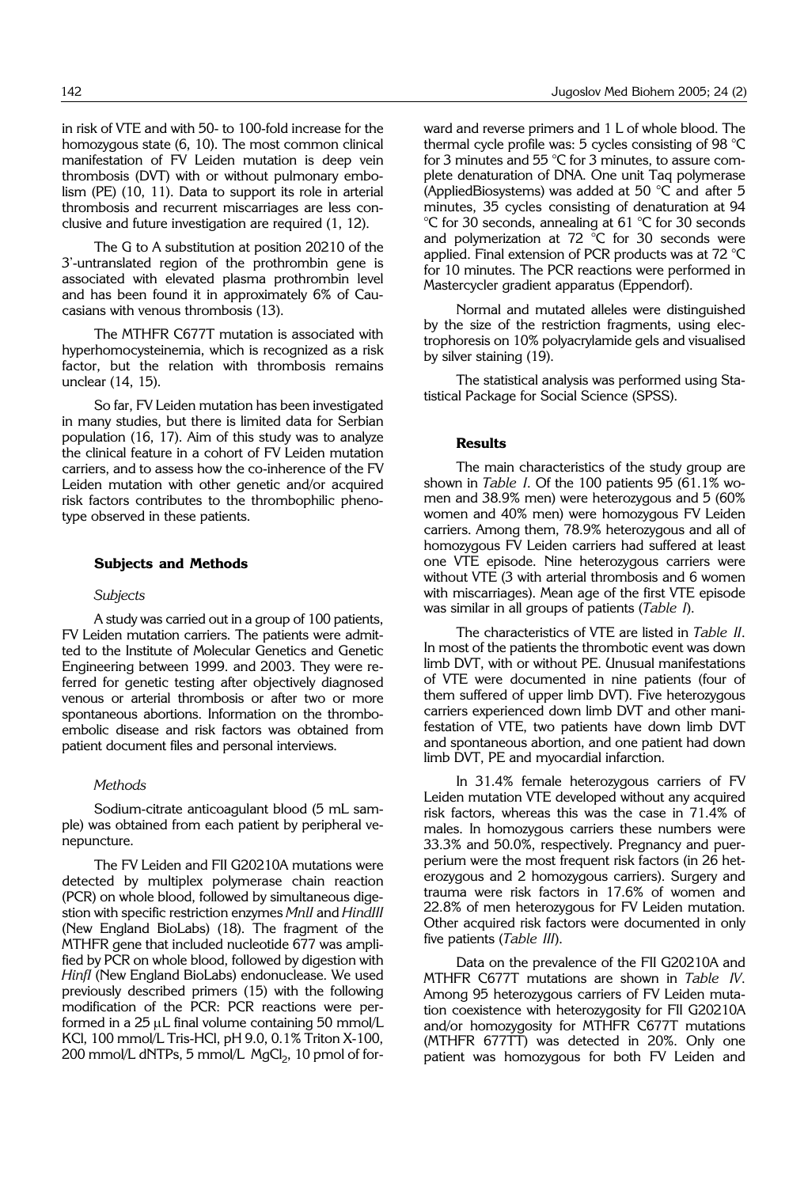in risk of VTE and with 50- to 100-fold increase for the homozygous state (6, 10). The most common clinical manifestation of FV Leiden mutation is deep vein thrombosis (DVT) with or without pulmonary embolism (PE) (10, 11). Data to support its role in arterial thrombosis and recurrent miscarriages are less conclusive and future investigation are required (1, 12).

The G to A substitution at position 20210 of the 3'-untranslated region of the prothrombin gene is associated with elevated plasma prothrombin level and has been found it in approximately 6% of Caucasians with venous thrombosis (13).

The MTHFR C677T mutation is associated with hyperhomocysteinemia, which is recognized as a risk factor, but the relation with thrombosis remains unclear (14, 15).

So far, FV Leiden mutation has been investigated in many studies, but there is limited data for Serbian population (16, 17). Aim of this study was to analyze the clinical feature in a cohort of FV Leiden mutation carriers, and to assess how the co-inherence of the FV Leiden mutation with other genetic and/or acquired risk factors contributes to the thrombophilic phenotype observed in these patients.

#### **Subjects and Methods**

#### *Subjects*

A study was carried out in a group of 100 patients, FV Leiden mutation carriers. The patients were admitted to the Institute of Molecular Genetics and Genetic Engineering between 1999. and 2003. They were referred for genetic testing after objectively diagnosed venous or arterial thrombosis or after two or more spontaneous abortions. Information on the thromboembolic disease and risk factors was obtained from patient document files and personal interviews.

#### *Methods*

Sodium-citrate anticoagulant blood (5 mL sample) was obtained from each patient by peripheral venepuncture.

The FV Leiden and FII G20210A mutations were detected by multiplex polymerase chain reaction (PCR) on whole blood, followed by simultaneous digestion with specific restriction enzymes *MnlI* and *HindIII* (New England BioLabs) (18). The fragment of the MTHFR gene that included nucleotide 677 was amplified by PCR on whole blood, followed by digestion with *HinfI* (New England BioLabs) endonuclease. We used previously described primers (15) with the following modification of the PCR: PCR reactions were performed in a  $25 \mu L$  final volume containing 50 mmol/L KCl, 100 mmol/L Tris-HCl, pH 9.0, 0.1% Triton X-100, 200 mmol/L dNTPs, 5 mmol/L  $MgCl<sub>2</sub>$ , 10 pmol of forward and reverse primers and 1 L of whole blood. The thermal cycle profile was: 5 cycles consisting of 98 °C for 3 minutes and 55 °C for 3 minutes, to assure complete denaturation of DNA. One unit Taq polymerase (AppliedBiosystems) was added at 50 °C and after 5 minutes, 35 cycles consisting of denaturation at 94 °C for 30 seconds, annealing at 61 °C for 30 seconds and polymerization at 72  $^{\circ}$ C for 30 seconds were applied. Final extension of PCR products was at 72 °C for 10 minutes. The PCR reactions were performed in Mastercycler gradient apparatus (Eppendorf).

Normal and mutated alleles were distinguished by the size of the restriction fragments, using electrophoresis on 10% polyacrylamide gels and visualised by silver staining (19).

The statistical analysis was performed using Statistical Package for Social Science (SPSS).

## **Results**

The main characteristics of the study group are shown in *Table I*. Of the 100 patients 95 (61.1% women and 38.9% men) were heterozygous and 5 (60% women and 40% men) were homozygous FV Leiden carriers. Among them, 78.9% heterozygous and all of homozygous FV Leiden carriers had suffered at least one VTE episode. Nine heterozygous carriers were without VTE (3 with arterial thrombosis and 6 women with miscarriages). Mean age of the first VTE episode was similar in all groups of patients (*Table I*).

The characteristics of VTE are listed in *Table II*. In most of the patients the thrombotic event was down limb DVT, with or without PE. Unusual manifestations of VTE were documented in nine patients (four of them suffered of upper limb DVT). Five heterozygous carriers experienced down limb DVT and other manifestation of VTE, two patients have down limb DVT and spontaneous abortion, and one patient had down limb DVT, PE and myocardial infarction.

In 31.4% female heterozygous carriers of FV Leiden mutation VTE developed without any acquired risk factors, whereas this was the case in 71.4% of males. In homozygous carriers these numbers were 33.3% and 50.0%, respectively. Pregnancy and puerperium were the most frequent risk factors (in 26 heterozygous and 2 homozygous carriers). Surgery and trauma were risk factors in 17.6% of women and 22.8% of men heterozygous for FV Leiden mutation. Other acquired risk factors were documented in only five patients (*Table III*).

Data on the prevalence of the FII G20210A and MTHFR C677T mutations are shown in *Table IV*. Among 95 heterozygous carriers of FV Leiden mutation coexistence with heterozygosity for FII G20210A and/or homozygosity for MTHFR C677T mutations (MTHFR 677TT) was detected in 20%. Only one patient was homozygous for both FV Leiden and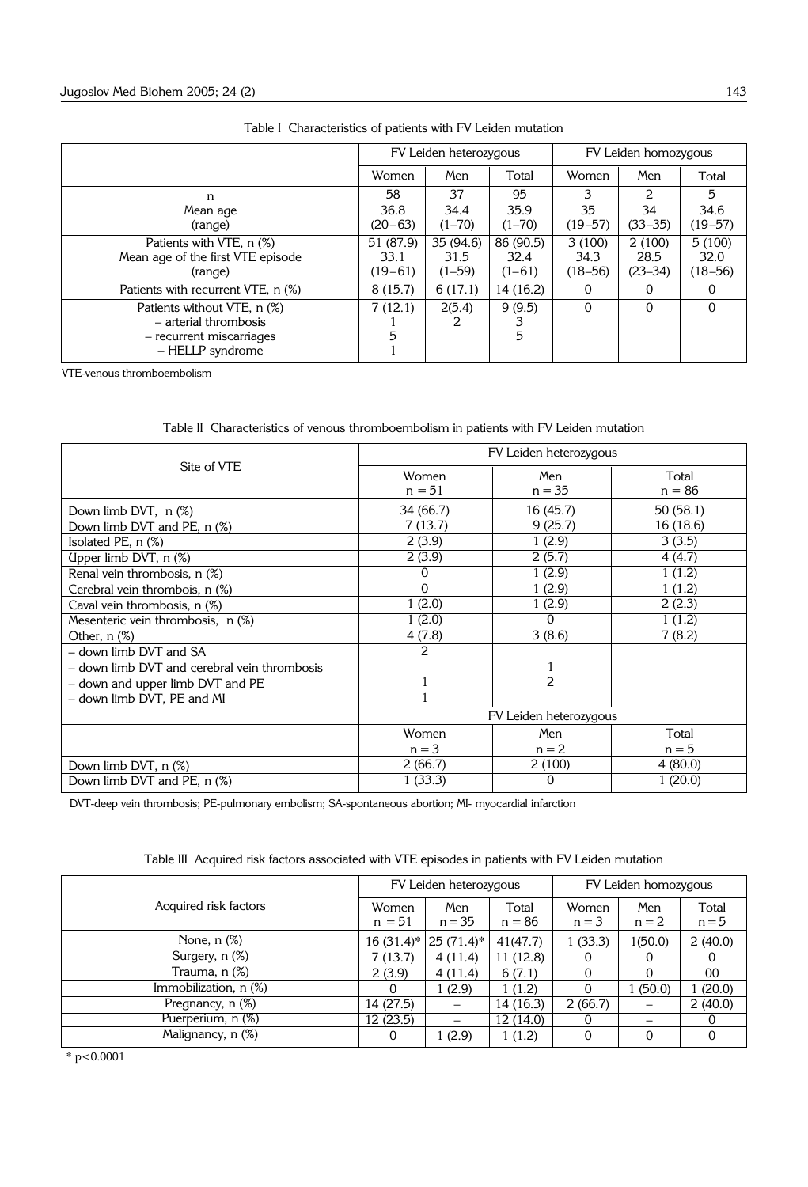|                                                                                                      | FV Leiden heterozygous           |                                 |                                 | FV Leiden homozygous          |                               |                               |
|------------------------------------------------------------------------------------------------------|----------------------------------|---------------------------------|---------------------------------|-------------------------------|-------------------------------|-------------------------------|
|                                                                                                      | Women                            | Men                             | Total                           | Women                         | Men                           | Total                         |
| n                                                                                                    | 58                               | 37                              | 95                              | 3                             | $\mathcal{P}_{\mathcal{C}}$   | 5.                            |
| Mean age<br>(range)                                                                                  | 36.8<br>$(20 - 63)$              | 34.4<br>$(1 - 70)$              | 35.9<br>$(1 - 70)$              | 35<br>$(19 - 57)$             | 34<br>$(33 - 35)$             | 34.6<br>$(19 - 57)$           |
| Patients with VTE, n (%)<br>Mean age of the first VTE episode<br>(range)                             | 51 (87.9)<br>33.1<br>$(19 - 61)$ | 35 (94.6)<br>31.5<br>$(1 - 59)$ | 86 (90.5)<br>32.4<br>$(1 - 61)$ | 3(100)<br>34.3<br>$(18 - 56)$ | 2(100)<br>28.5<br>$(23 - 34)$ | 5(100)<br>32.0<br>$(18 - 56)$ |
| Patients with recurrent VTE, n (%)                                                                   | 8(15.7)                          | 6(17.1)                         | 14 (16.2)                       | 0                             | 0                             |                               |
| Patients without VTE, n (%)<br>- arterial thrombosis<br>- recurrent miscarriages<br>- HELLP syndrome | 7(12.1)<br>5                     | 2(5.4)                          | 9(9.5)<br>5                     | $\Omega$                      | $\Omega$                      |                               |

|  | Table I Characteristics of patients with FV Leiden mutation |
|--|-------------------------------------------------------------|
|--|-------------------------------------------------------------|

VTE-venous thromboembolism

Table II Characteristics of venous thromboembolism in patients with FV Leiden mutation

| Site of VTE                                  | FV Leiden heterozygous |                     |                   |  |  |  |
|----------------------------------------------|------------------------|---------------------|-------------------|--|--|--|
|                                              | Women<br>$n = 51$      | Men<br>$n = 35$     | Total<br>$n = 86$ |  |  |  |
| Down limb DVT, $n$ $(\%)$                    | 34 (66.7)              | 16 (45.7)           |                   |  |  |  |
| Down limb DVT and PE, n (%)                  | 7(13.7)                | 16(18.6)<br>9(25.7) |                   |  |  |  |
| Isolated PE, n (%)                           | 2(3.9)                 | 1(2.9)              | 3(3.5)            |  |  |  |
| Upper limb DVT, n (%)                        | 2(3.9)                 | 2(5.7)              | 4 (4.7)           |  |  |  |
| Renal vein thrombosis, n (%)                 | 0                      | 1(2.9)              | 1(1.2)            |  |  |  |
| Cerebral vein thrombois, n (%)               | 0                      | 1(2.9)              | 1(1.2)            |  |  |  |
| Caval vein thrombosis, n (%)                 | 1(2.0)                 | 1(2.9)              | 2(2.3)            |  |  |  |
| Mesenteric vein thrombosis, n (%)            | 1(2.0)                 | 0                   | 1(1.2)            |  |  |  |
| Other, $n$ $(\%)$                            | 4(7.8)                 | 3(8.6)              | 7(8.2)            |  |  |  |
| - down limb DVT and SA                       | 2                      |                     |                   |  |  |  |
| - down limb DVT and cerebral vein thrombosis |                        |                     |                   |  |  |  |
| - down and upper limb DVT and PE             |                        | 2                   |                   |  |  |  |
| - down limb DVT, PE and MI                   |                        |                     |                   |  |  |  |
|                                              | FV Leiden heterozygous |                     |                   |  |  |  |
|                                              | Women                  | Men                 | Total             |  |  |  |
|                                              | $n = 3$                | $n = 2$             | $n = 5$           |  |  |  |
| Down limb DVT, n (%)                         | 2(66.7)                | 2(100)              | 4(80.0)           |  |  |  |
| Down limb DVT and PE, n (%)                  | 1(33.3)                | 0                   | 1(20.0)           |  |  |  |

DVT-deep vein thrombosis; PE-pulmonary embolism; SA-spontaneous abortion; MI- myocardial infarction

|                       | FV Leiden heterozygous |                 |                   | FV Leiden homozygous |                |                  |
|-----------------------|------------------------|-----------------|-------------------|----------------------|----------------|------------------|
| Acquired risk factors | Women<br>$n = 51$      | Men<br>$n = 35$ | Total<br>$n = 86$ | Women<br>$n = 3$     | Men<br>$n = 2$ | Total<br>$n = 5$ |
| None, $n$ $(\%)$      | $16(31.4)$ *           | 25 (71.4)*      | 41(47.7)          | 1(33.3)              | 1(50.0)        | 2(40.0)          |
| Surgery, $n$ $(\%)$   | 7 (13.7)               | 4(11.4)         | 11(12.8)          |                      |                |                  |
| Trauma, n (%)         | 2(3.9)                 | 4(11.4)         | 6(7.1)            | 0                    | 0              | 00               |
| Immobilization, n (%) |                        | 1(2.9)          | 1(1.2)            | 0                    | 1(50.0)        | 1(20.0)          |
| Pregnancy, n (%)      | 14 (27.5)              |                 | 14 (16.3)         | 2(66.7)              |                | 2(40.0)          |
| Puerperium, n (%)     | 12(23.5)               |                 | 12(14.0)          |                      |                |                  |
| Malignancy, n (%)     | 0                      | 1(2.9)          | 1(1.2)            | $\Omega$             | $\Omega$       |                  |

Table III Acquired risk factors associated with VTE episodes in patients with FV Leiden mutation

\* p<0.0001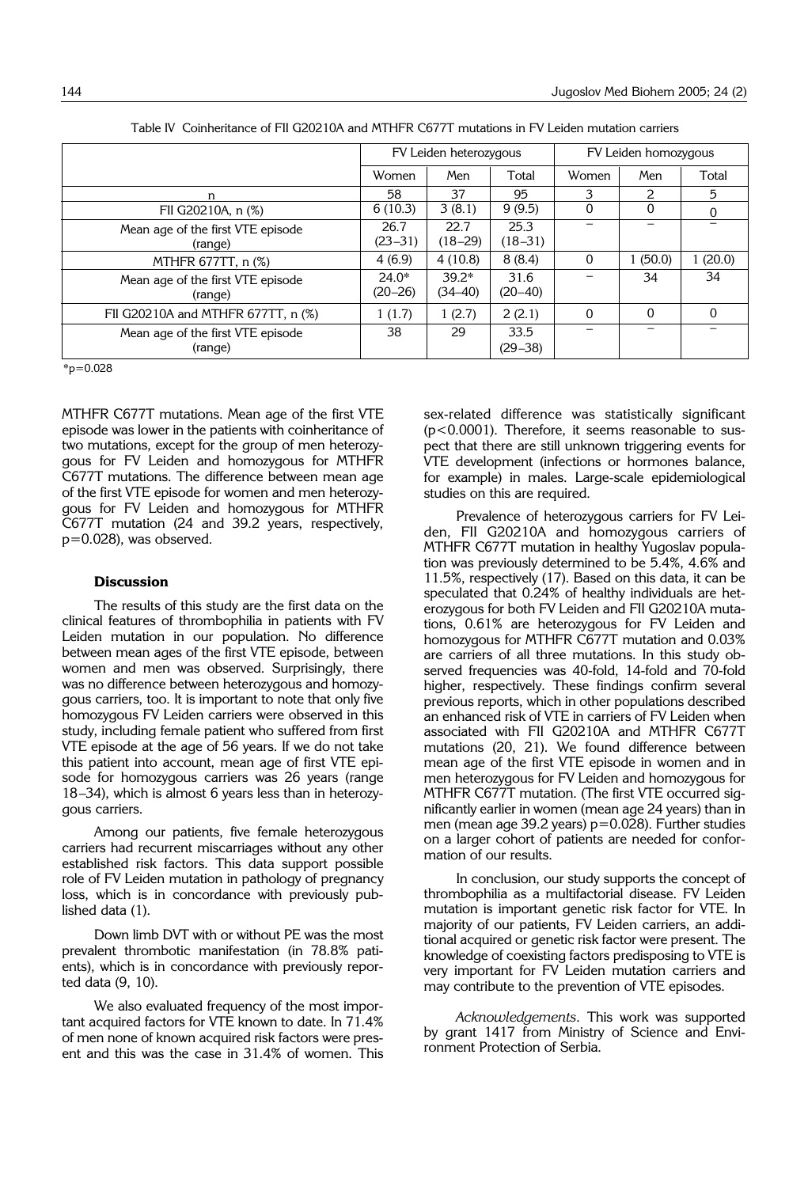|                                              | FV Leiden heterozygous |                        |                     | FV Leiden homozygous     |          |         |
|----------------------------------------------|------------------------|------------------------|---------------------|--------------------------|----------|---------|
|                                              | Women                  | Men                    | Total               | Women                    | Men      | Total   |
| n                                            | 58                     | 37                     | 95                  | 3                        | フ        | 5       |
| FII G20210A, n (%)                           | 6(10.3)                | 3(8.1)                 | 9(9.5)              | 0                        | 0        |         |
| Mean age of the first VTE episode<br>(range) | 26.7<br>$(23 - 31)$    | 22.7<br>$(18-29)$      | 25.3<br>$(18 - 31)$ | $\overline{\phantom{0}}$ |          |         |
| MTHFR 677TT, n (%)                           | 4(6.9)                 | 4(10.8)                | 8(8.4)              | $\Omega$                 | 1(50.0)  | 1(20.0) |
| Mean age of the first VTE episode<br>(range) | $24.0*$<br>(20–26)     | $39.2*$<br>$(34 - 40)$ | 31.6<br>$(20-40)$   |                          | 34       | 34      |
| FII G20210A and MTHFR 677TT, n (%)           | 1(1.7)                 | 1(2.7)                 | 2(2.1)              | $\Omega$                 | $\Omega$ | 0       |
| Mean age of the first VTE episode<br>(range) | 38                     | 29                     | 33.5<br>$(29 - 38)$ |                          |          |         |

Table IV Coinheritance of FII G20210A and MTHFR C677T mutations in FV Leiden mutation carriers

 $*_{p=0.028}$ 

MTHFR C677T mutations. Mean age of the first VTE episode was lower in the patients with coinheritance of two mutations, except for the group of men heterozygous for FV Leiden and homozygous for MTHFR C677T mutations. The difference between mean age of the first VTE episode for women and men heterozygous for FV Leiden and homozygous for MTHFR C677T mutation (24 and 39.2 years, respectively, p=0.028), was observed.

#### **Discussion**

The results of this study are the first data on the clinical features of thrombophilia in patients with FV Leiden mutation in our population. No difference between mean ages of the first VTE episode, between women and men was observed. Surprisingly, there was no difference between heterozygous and homozygous carriers, too. It is important to note that only five homozygous FV Leiden carriers were observed in this study, including female patient who suffered from first VTE episode at the age of 56 years. If we do not take this patient into account, mean age of first VTE episode for homozygous carriers was 26 years (range 18-34), which is almost 6 years less than in heterozygous carriers.

Among our patients, five female heterozygous carriers had recurrent miscarriages without any other established risk factors. This data support possible role of FV Leiden mutation in pathology of pregnancy loss, which is in concordance with previously published data (1).

Down limb DVT with or without PE was the most prevalent thrombotic manifestation (in 78.8% patients), which is in concordance with previously reported data (9, 10).

We also evaluated frequency of the most important acquired factors for VTE known to date. In 71.4% of men none of known acquired risk factors were present and this was the case in 31.4% of women. This

sex-related difference was statistically significant (p<0.0001). Therefore, it seems reasonable to suspect that there are still unknown triggering events for VTE development (infections or hormones balance, for example) in males. Large-scale epidemiological studies on this are required.

Prevalence of heterozygous carriers for FV Leiden, FII G20210A and homozygous carriers of MTHFR C677T mutation in healthy Yugoslav population was previously determined to be 5.4%, 4.6% and 11.5%, respectively (17). Based on this data, it can be speculated that 0.24% of healthy individuals are heterozygous for both FV Leiden and FII G20210A mutations, 0.61% are heterozygous for FV Leiden and homozygous for MTHFR C677T mutation and 0.03% are carriers of all three mutations. In this study observed frequencies was 40-fold, 14-fold and 70-fold higher, respectively. These findings confirm several previous reports, which in other populations described an enhanced risk of VTE in carriers of FV Leiden when associated with FII G20210A and MTHFR C677T mutations (20, 21). We found difference between mean age of the first VTE episode in women and in men heterozygous for FV Leiden and homozygous for MTHFR C677T mutation. (The first VTE occurred significantly earlier in women (mean age 24 years) than in men (mean age 39.2 years)  $p=0.028$ ). Further studies on a larger cohort of patients are needed for conformation of our results.

In conclusion, our study supports the concept of thrombophilia as a multifactorial disease. FV Leiden mutation is important genetic risk factor for VTE. In majority of our patients, FV Leiden carriers, an additional acquired or genetic risk factor were present. The knowledge of coexisting factors predisposing to VTE is very important for FV Leiden mutation carriers and may contribute to the prevention of VTE episodes.

*Acknowledgements*. This work was supported by grant 1417 from Ministry of Science and Environment Protection of Serbia.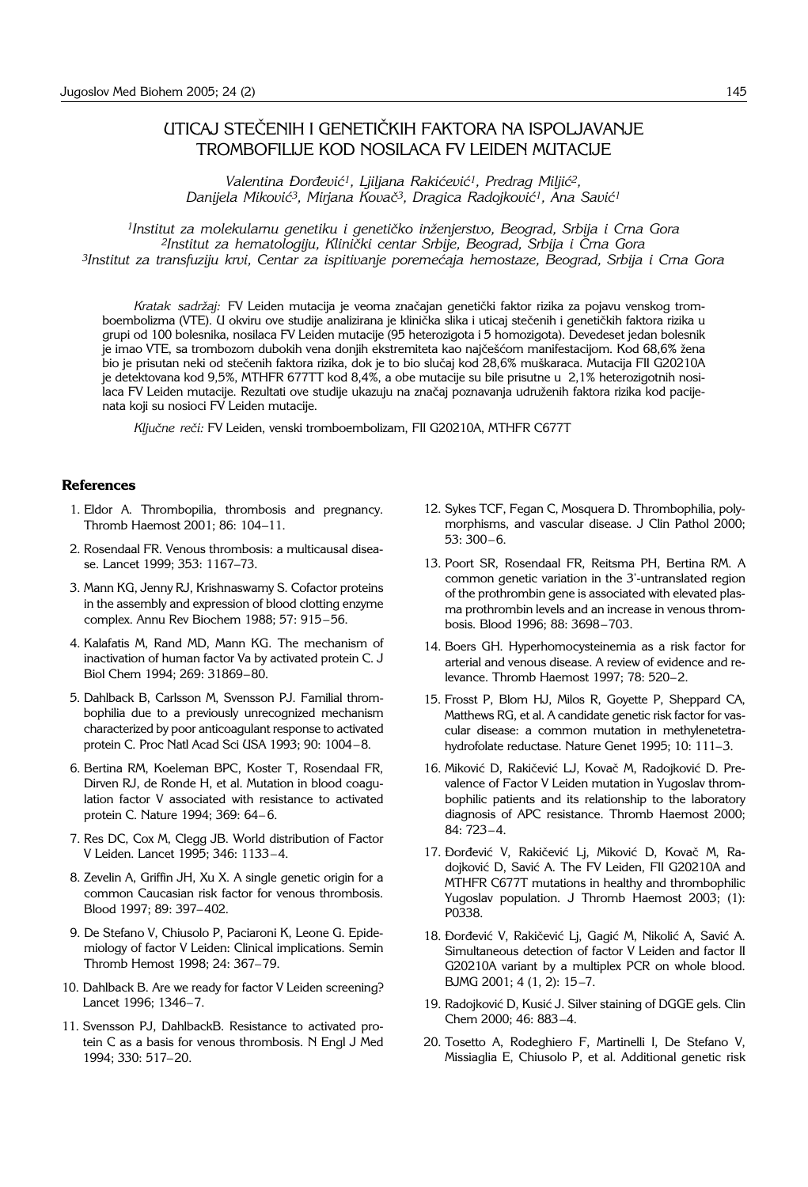## UTICAJ STEČENIH I GENETIČKIH FAKTORA NA ISPOLJAVANJE TROMBOFILIJE KOD NOSILACA FV LEIDEN MUTACIJE

Valentina Đorđević<sup>1</sup>, Ljiljana Rakićević<sup>1</sup>, Predrag Miljić<sup>2</sup>, *Danijela Mikovi}3, Mirjana Kova~3, Dragica Radojkovi}1, Ana Savi}1*

*1Institut za molekularnu genetiku i geneti~ko in`enjerstvo, Beograd, Srbija i Crna Gora 2Institut za hematologiju, Klini~ki centar Srbije, Beograd, Srbija i Crna Gora 3Institut za transfuziju krvi, Centar za ispitivanje poreme}aja hemostaze, Beograd, Srbija i Crna Gora*

Kratak sadržaj: FV Leiden mutacija je veoma značajan genetički faktor rizika za pojavu venskog tromboembolizma (VTE). U okviru ove studije analizirana je klinička slika i uticaj stečenih i genetičkih faktora rizika u grupi od 100 bolesnika, nosilaca FV Leiden mutacije (95 heterozigota i 5 homozigota). Devedeset jedan bolesnik je imao VTE, sa trombozom dubokih vena donjih ekstremiteta kao najčešćom manifestacijom. Kod 68,6% žena bio je prisutan neki od stečenih faktora rizika, dok je to bio slučaj kod 28,6% muškaraca. Mutacija FII G20210A je detektovana kod 9,5%, MTHFR 677TT kod 8,4%, a obe mutacije su bile prisutne u 2,1% heterozigotnih nosi-.<br>Iaca FV Leiden mutacije. Rezultati ove studije ukazuju na značaj poznavanja udruženih faktora rizika kod pacijenata koji su nosioci FV Leiden mutacije.

Ključne reči: FV Leiden, venski tromboembolizam, FII G20210A, MTHFR C677T

#### **References**

- 1. Eldor A. Thrombopilia, thrombosis and pregnancy. Thromb Haemost 2001; 86: 104-11.
- 2. Rosendaal FR. Venous thrombosis: a multicausal disease. Lancet 1999; 353: 1167-73.
- 3. Mann KG, Jenny RJ, Krishnaswamy S. Cofactor proteins in the assembly and expression of blood clotting enzyme complex. Annu Rev Biochem 1988; 57: 915-56.
- 4. Kalafatis M, Rand MD, Mann KG. The mechanism of inactivation of human factor Va by activated protein C. J Biol Chem 1994; 269: 31869-80.
- 5. Dahlback B, Carlsson M, Svensson PJ. Familial thrombophilia due to a previously unrecognized mechanism characterized by poor anticoagulant response to activated protein C. Proc Natl Acad Sci USA 1993; 90: 1004-8.
- 6. Bertina RM, Koeleman BPC, Koster T, Rosendaal FR, Dirven RJ, de Ronde H, et al. Mutation in blood coagulation factor V associated with resistance to activated protein C. Nature 1994; 369: 64-6.
- 7. Res DC, Cox M, Clegg JB. World distribution of Factor V Leiden. Lancet 1995; 346: 1133-4.
- 8. Zevelin A, Griffin JH, Xu X. A single genetic origin for a common Caucasian risk factor for venous thrombosis. Blood 1997; 89: 397-402.
- 9. De Stefano V, Chiusolo P, Paciaroni K, Leone G. Epidemiology of factor V Leiden: Clinical implications. Semin Thromb Hemost 1998; 24: 367-79.
- 10. Dahlback B. Are we ready for factor V Leiden screening? Lancet 1996; 1346-7.
- 11. Svensson PJ, DahlbackB. Resistance to activated protein C as a basis for venous thrombosis. N Engl J Med 1994; 330: 517-20.
- 12. Sykes TCF, Fegan C, Mosquera D. Thrombophilia, polymorphisms, and vascular disease. J Clin Pathol 2000;  $53:300-6.$
- 13. Poort SR, Rosendaal FR, Reitsma PH, Bertina RM. A common genetic variation in the 3'-untranslated region of the prothrombin gene is associated with elevated plasma prothrombin levels and an increase in venous thrombosis. Blood 1996; 88: 3698-703.
- 14. Boers GH. Hyperhomocysteinemia as a risk factor for arterial and venous disease. A review of evidence and relevance. Thromb Haemost 1997: 78: 520-2.
- 15. Frosst P, Blom HJ, Milos R, Goyette P, Sheppard CA, Matthews RG, et al. A candidate genetic risk factor for vascular disease: a common mutation in methylenetetrahydrofolate reductase. Nature Genet 1995; 10: 111-3.
- 16. Miković D, Rakičević LJ, Kovač M, Radojković D. Prevalence of Factor V Leiden mutation in Yugoslav thrombophilic patients and its relationship to the laboratory diagnosis of APC resistance. Thromb Haemost 2000; 84: 723-4.
- 17. Đorđević V, Rakičević Lj, Miković D, Kovač M, Radojković D, Savić A. The FV Leiden, FII G20210A and MTHFR C677T mutations in healthy and thrombophilic Yugoslav population. J Thromb Haemost 2003; (1): P0338.
- 18. Đorđević V, Rakičević Lj, Gagić M, Nikolić A, Savić A. Simultaneous detection of factor V Leiden and factor II G20210A variant by a multiplex PCR on whole blood. BJMG 2001; 4 (1, 2): 15-7.
- 19. Radojković D, Kusić J. Silver staining of DGGE gels. Clin Chem 2000; 46: 883-4.
- 20. Tosetto A, Rodeghiero F, Martinelli I, De Stefano V, Missiaglia E, Chiusolo P, et al. Additional genetic risk